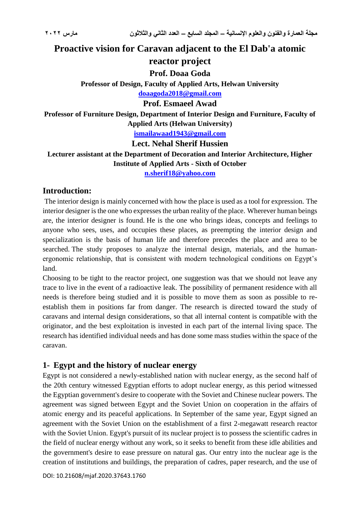## **Proactive vision for Caravan adjacent to the El Dab'a atomic**

# **reactor project**

## **Prof. Doaa Goda**

**Professor of Design, Faculty of Applied Arts, Helwan University**

## **[doaagoda2018@gmail.com](mailto:doaagoda2018@gmail.com)**

## **Prof. Esmaeel Awad**

**Professor of Furniture Design, Department of Interior Design and Furniture, Faculty of Applied Arts (Helwan University)**

**[ismailawaad1943@gmail.com](mailto:ismailawaad1943@gmail.com)**

**Lect. Nehal Sherif Hussien**

**Lecturer assistant at the Department of Decoration and Interior Architecture, Higher** 

#### **Institute of Applied Arts - Sixth of October**

**[n.sherif18@yahoo.com](mailto:n.sherif18@yahoo.com)**

## **Introduction:**

The interior design is mainly concerned with how the place is used as a tool for expression. The interior designer is the one who expresses the urban reality of the place. Wherever human beings are, the interior designer is found. He is the one who brings ideas, concepts and feelings to anyone who sees, uses, and occupies these places, as preempting the interior design and specialization is the basis of human life and therefore precedes the place and area to be searched. The study proposes to analyze the internal design, materials, and the humanergonomic relationship, that is consistent with modern technological conditions on Egypt's land.

Choosing to be tight to the reactor project, one suggestion was that we should not leave any trace to live in the event of a radioactive leak. The possibility of permanent residence with all needs is therefore being studied and it is possible to move them as soon as possible to reestablish them in positions far from danger. The research is directed toward the study of caravans and internal design considerations, so that all internal content is compatible with the originator, and the best exploitation is invested in each part of the internal living space. The research has identified individual needs and has done some mass studies within the space of the caravan.

## **1- Egypt and the history of nuclear energy**

Egypt is not considered a newly-established nation with nuclear energy, as the second half of the 20th century witnessed Egyptian efforts to adopt nuclear energy, as this period witnessed the Egyptian government's desire to cooperate with the Soviet and Chinese nuclear powers. The agreement was signed between Egypt and the Soviet Union on cooperation in the affairs of atomic energy and its peaceful applications. In September of the same year, Egypt signed an agreement with the Soviet Union on the establishment of a first 2-megawatt research reactor with the Soviet Union. Egypt's pursuit of its nuclear project is to possess the scientific cadres in the field of nuclear energy without any work, so it seeks to benefit from these idle abilities and the government's desire to ease pressure on natural gas. Our entry into the nuclear age is the creation of institutions and buildings, the preparation of cadres, paper research, and the use of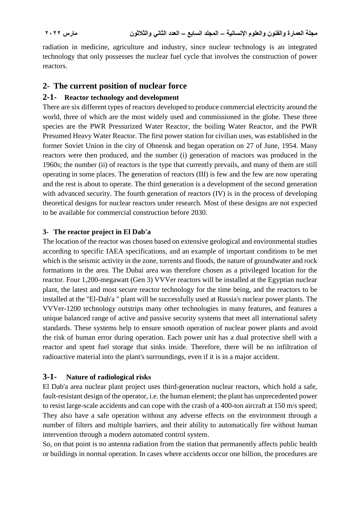radiation in medicine, agriculture and industry, since nuclear technology is an integrated technology that only possesses the nuclear fuel cycle that involves the construction of power reactors.

## **2- The current position of nuclear force**

### **2-1- Reactor technology and development**

There are six different types of reactors developed to produce commercial electricity around the world, three of which are the most widely used and commissioned in the globe. These three species are the PWR Pressurized Water Reactor, the boiling Water Reactor, and the PWR Presumed Heavy Water Reactor. The first power station for civilian uses, was established in the former Soviet Union in the city of Obnensk and began operation on 27 of June, 1954. Many reactors were then produced, and the number (i) generation of reactors was produced in the 1960s; the number (ii) of reactors is the type that currently prevails, and many of them are still operating in some places. The generation of reactors (III) is few and the few are now operating and the rest is about to operate. The third generation is a development of the second generation with advanced security. The fourth generation of reactors (IV) is in the process of developing theoretical designs for nuclear reactors under research. Most of these designs are not expected to be available for commercial construction before 2030.

#### **3- The reactor project in El Dab'a**

The location of the reactor was chosen based on extensive geological and environmental studies according to specific IAEA specifications, and an example of important conditions to be met which is the seismic activity in the zone, torrents and floods, the nature of groundwater and rock formations in the area. The Dubai area was therefore chosen as a privileged location for the reactor. Four 1,200-megawatt (Gen 3) VVVer reactors will be installed at the Egyptian nuclear plant, the latest and most secure reactor technology for the time being, and the reactors to be installed at the "El-Dah'a " plant will be successfully used at Russia's nuclear power plants. The VVVer-1200 technology outstrips many other technologies in many features, and features a unique balanced range of active and passive security systems that meet all international safety standards. These systems help to ensure smooth operation of nuclear power plants and avoid the risk of human error during operation. Each power unit has a dual protective shell with a reactor and spent fuel storage that sinks inside. Therefore, there will be no infiltration of radioactive material into the plant's surroundings, even if it is in a major accident.

#### **3-1- Nature of radiological risks**

El Dab'a area nuclear plant project uses third-generation nuclear reactors, which hold a safe, fault-resistant design of the operator, i.e. the human element; the plant has unprecedented power to resist large-scale accidents and can cope with the crash of a 400-ton aircraft at 150 m/s speed; They also have a safe operation without any adverse effects on the environment through a number of filters and multiple barriers, and their ability to automatically fire without human intervention through a modern automated control system.

So, on that point is no antenna radiation from the station that permanently affects public health or buildings in normal operation. In cases where accidents occur one billion, the procedures are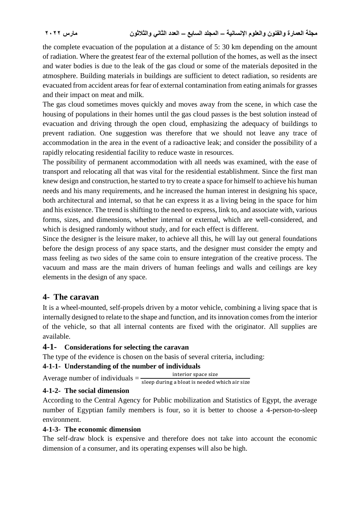the complete evacuation of the population at a distance of 5: 30 km depending on the amount of radiation. Where the greatest fear of the external pollution of the homes, as well as the insect and water bodies is due to the leak of the gas cloud or some of the materials deposited in the atmosphere. Building materials in buildings are sufficient to detect radiation, so residents are evacuated from accident areas for fear of external contamination from eating animals for grasses and their impact on meat and milk.

The gas cloud sometimes moves quickly and moves away from the scene, in which case the housing of populations in their homes until the gas cloud passes is the best solution instead of evacuation and driving through the open cloud, emphasizing the adequacy of buildings to prevent radiation. One suggestion was therefore that we should not leave any trace of accommodation in the area in the event of a radioactive leak; and consider the possibility of a rapidly relocating residential facility to reduce waste in resources.

The possibility of permanent accommodation with all needs was examined, with the ease of transport and relocating all that was vital for the residential establishment. Since the first man knew design and construction, he started to try to create a space for himself to achieve his human needs and his many requirements, and he increased the human interest in designing his space, both architectural and internal, so that he can express it as a living being in the space for him and his existence. The trend is shifting to the need to express, link to, and associate with, various forms, sizes, and dimensions, whether internal or external, which are well-considered, and which is designed randomly without study, and for each effect is different.

Since the designer is the leisure maker, to achieve all this, he will lay out general foundations before the design process of any space starts, and the designer must consider the empty and mass feeling as two sides of the same coin to ensure integration of the creative process. The vacuum and mass are the main drivers of human feelings and walls and ceilings are key elements in the design of any space.

## **4- The caravan**

It is a wheel-mounted, self-propels driven by a motor vehicle, combining a living space that is internally designed to relate to the shape and function, and its innovation comes from the interior of the vehicle, so that all internal contents are fixed with the originator. All supplies are available.

## **4-1- Considerations for selecting the caravan**

The type of the evidence is chosen on the basis of several criteria, including:

## **4-1-1- Understanding of the number of individuals**

Average number of individuals  $=$  interior space size sleep during a bloat is needed which air size

#### **4-1-2- The social dimension**

According to the Central Agency for Public mobilization and Statistics of Egypt, the average number of Egyptian family members is four, so it is better to choose a 4-person-to-sleep environment.

#### **4-1-3- The economic dimension**

The self-draw block is expensive and therefore does not take into account the economic dimension of a consumer, and its operating expenses will also be high.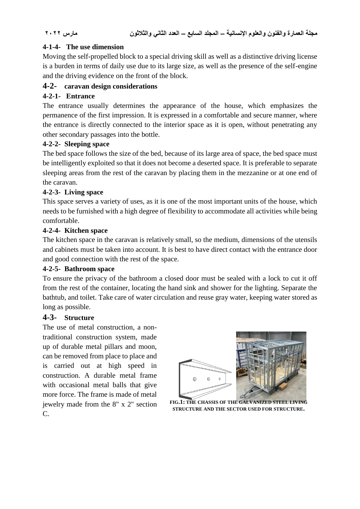## **4-1-4- The use dimension**

Moving the self-propelled block to a special driving skill as well as a distinctive driving license is a burden in terms of daily use due to its large size, as well as the presence of the self-engine and the driving evidence on the front of the block.

## **4-2- caravan design considerations**

## **4-2-1- Entrance**

The entrance usually determines the appearance of the house, which emphasizes the permanence of the first impression. It is expressed in a comfortable and secure manner, where the entrance is directly connected to the interior space as it is open, without penetrating any other secondary passages into the bottle.

#### **4-2-2- Sleeping space**

The bed space follows the size of the bed, because of its large area of space, the bed space must be intelligently exploited so that it does not become a deserted space. It is preferable to separate sleeping areas from the rest of the caravan by placing them in the mezzanine or at one end of the caravan.

### **4-2-3- Living space**

This space serves a variety of uses, as it is one of the most important units of the house, which needs to be furnished with a high degree of flexibility to accommodate all activities while being comfortable.

#### **4-2-4- Kitchen space**

The kitchen space in the caravan is relatively small, so the medium, dimensions of the utensils and cabinets must be taken into account. It is best to have direct contact with the entrance door and good connection with the rest of the space.

#### **4-2-5- Bathroom space**

To ensure the privacy of the bathroom a closed door must be sealed with a lock to cut it off from the rest of the container, locating the hand sink and shower for the lighting. Separate the bathtub, and toilet. Take care of water circulation and reuse gray water, keeping water stored as long as possible.

#### **4-3- Structure**

The use of metal construction, a nontraditional construction system, made up of durable metal pillars and moon, can be removed from place to place and is carried out at high speed in construction. A durable metal frame with occasional metal balls that give more force. The frame is made of metal jewelry made from the 8" x 2" section C.



**FIG.1: THE CHASSIS OF THE GALVANIZED STEEL LIVING STRUCTURE AND THE SECTOR USED FOR STRUCTURE.**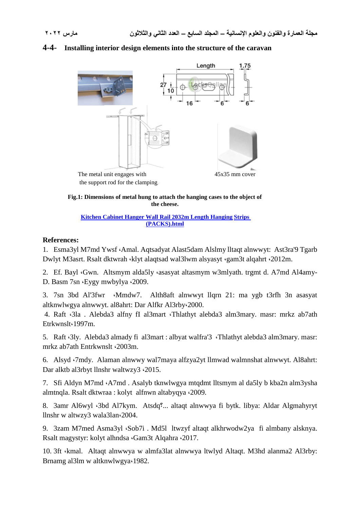#### **4-4- Installing interior design elements into the structure of the caravan**



**Fig.1: Dimensions of metal hung to attach the hanging cases to the object of the cheese.**

**Kitchen Cabinet Hanger Wall Rail 2032m Length Hanging Strips (PACKS).html**

#### **References:**

1. Esma3yl M7md Ywsf ،Amal. Aqtsadyat Alast5dam Alslmy lltaqt alnwwyt: Ast3ra'9 Tgarb Dwlyt M3asrt. Rsalt dktwrah ،klyt alaqtsad wal3lwm alsyasyt ،gam3t alqahrt ،2012m.

2. Ef. Bayl *Gwn.* Altsmym alda5ly *asasyat altasmym w3mlyath. trgmt d. A7md Al4amy-*D. Basm 7sn ،Eygy mwbylya ،2009.

3. 7sn 3bd Al'3fwr ،Mmdw7. Alth8aft alnwwyt llqrn 21: ma ygb t3rfh 3n asasyat altknwlwgya alnwwyt. al8ahrt: Dar Alfkr Al3rby،2000.

4. Raft ،3la . Alebda3 alfny fI al3mart ،Thlathyt alebda3 alm3mary. masr: mrkz ab7ath Etrkwnslt،1997m.

5. Raft ،3ly. Alebda3 almady fi al3mart : albyat walfra'3 ،Thlathyt alebda3 alm3mary. masr: mrkz ab7ath Entrkwnslt ،2003m.

6. Alsyd ،7mdy. Alaman alnwwy wal7maya alfzya2yt llmwad walmnshat alnwwyt. Al8ahrt: Dar alktb al3rbyt llnshr waltwzy3 ،2015.

7. Sfi Aldyn M7md ،A7md . Asalyb tknwlwgya mtqdmt lltsmym al da5ly b kba2n alm3ysha almtnqla. Rsalt dktwraa : kolyt alfnwn altabyqya ،2009.

8. 3amr Al6wyl ،3bd Al7kym. Atsdq؟... altaqt alnwwya fi bytk. libya: Aldar Algmahyryt llnshr w altwzy3 wala3lan،2004.

9. 3zam M7med Asma3yl ،Sob7i . Md5l ltwzyf altaqt alkhrwodw2ya fi almbany alsknya. Rsalt magystyr: kolyt alhndsa ،Gam3t Alqahra ،2017.

10. 3ft ،kmal. Altaqt alnwwya w almfa3lat alnwwya ltwlyd Altaqt. M3hd alanma2 Al3rby: Brnamg al3lm w altknwlwgya،1982.